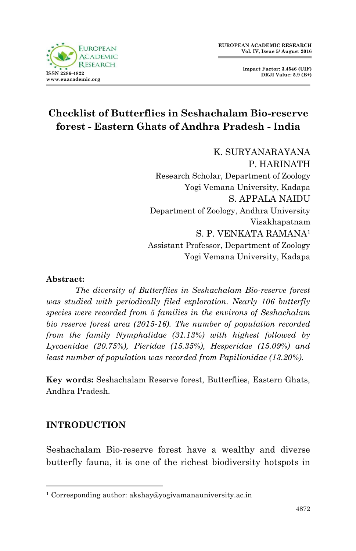



# **Checklist of Butterflies in Seshachalam Bio-reserve forest - Eastern Ghats of Andhra Pradesh - India**

K. SURYANARAYANA P. HARINATH Research Scholar, Department of Zoology Yogi Vemana University, Kadapa S. APPALA NAIDU Department of Zoology, Andhra University Visakhapatnam S. P. VENKATA RAMANA<sup>1</sup> Assistant Professor, Department of Zoology Yogi Vemana University, Kadapa

### **Abstract:**

*The diversity of Butterflies in Seshachalam Bio-reserve forest was studied with periodically filed exploration. Nearly 106 butterfly species were recorded from 5 families in the environs of Seshachalam bio reserve forest area (2015-16). The number of population recorded from the family Nymphalidae (31.13%) with highest followed by Lycaenidae (20.75%), Pieridae (15.35%), Hesperidae (15.09%) and least number of population was recorded from Papilionidae (13.20%).*

**Key words:** Seshachalam Reserve forest, Butterflies, Eastern Ghats, Andhra Pradesh.

## **INTRODUCTION**

1

Seshachalam Bio-reserve forest have a wealthy and diverse butterfly fauna, it is one of the richest biodiversity hotspots in

<sup>1</sup> Corresponding author: akshay@yogivamanauniversity.ac.in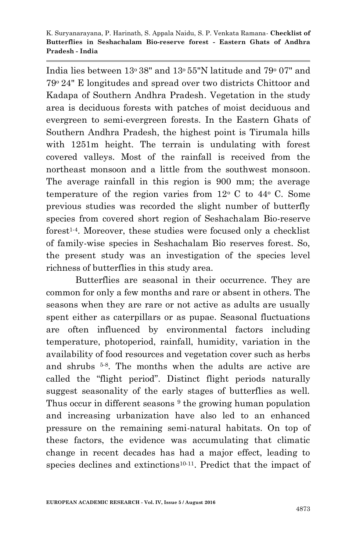India lies between 13o 38" and 13o 55"N latitude and 79<sup>o</sup> 07" and 79o 24" E longitudes and spread over two districts Chittoor and Kadapa of Southern Andhra Pradesh. Vegetation in the study area is deciduous forests with patches of moist deciduous and evergreen to semi-evergreen forests. In the Eastern Ghats of Southern Andhra Pradesh, the highest point is Tirumala hills with 1251m height. The terrain is undulating with forest covered valleys. Most of the rainfall is received from the northeast monsoon and a little from the southwest monsoon. The average rainfall in this region is 900 mm; the average temperature of the region varies from  $12^{\circ}$  C to  $44^{\circ}$  C. Some previous studies was recorded the slight number of butterfly species from covered short region of Seshachalam Bio-reserve forest<sup>1-4</sup>. Moreover, these studies were focused only a checklist of family-wise species in Seshachalam Bio reserves forest. So, the present study was an investigation of the species level richness of butterflies in this study area.

Butterflies are seasonal in their occurrence. They are common for only a few months and rare or absent in others. The seasons when they are rare or not active as adults are usually spent either as caterpillars or as pupae. Seasonal fluctuations are often influenced by environmental factors including temperature, photoperiod, rainfall, humidity, variation in the availability of food resources and vegetation cover such as herbs and shrubs 5-8 . The months when the adults are active are called the "flight period". Distinct flight periods naturally suggest seasonality of the early stages of butterflies as well. Thus occur in different seasons <sup>9</sup> the growing human population and increasing urbanization have also led to an enhanced pressure on the remaining semi-natural habitats. On top of these factors, the evidence was accumulating that climatic change in recent decades has had a major effect, leading to species declines and extinctions<sup>10-11</sup>. Predict that the impact of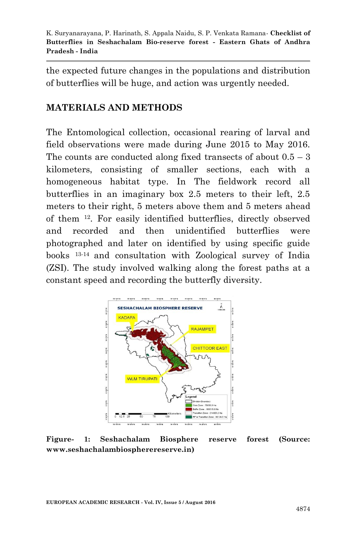the expected future changes in the populations and distribution of butterflies will be huge, and action was urgently needed.

# **MATERIALS AND METHODS**

The Entomological collection, occasional rearing of larval and field observations were made during June 2015 to May 2016. The counts are conducted along fixed transects of about  $0.5 - 3$ kilometers, consisting of smaller sections, each with a homogeneous habitat type. In The fieldwork record all butterflies in an imaginary box 2.5 meters to their left, 2.5 meters to their right, 5 meters above them and 5 meters ahead of them 12. For easily identified butterflies, directly observed and recorded and then unidentified butterflies were photographed and later on identified by using specific guide books 13-14 and consultation with Zoological survey of India (ZSI). The study involved walking along the forest paths at a constant speed and recording the butterfly diversity.



**Figure- 1: Seshachalam Biosphere reserve forest (Source: www.seshachalambiospherereserve.in)**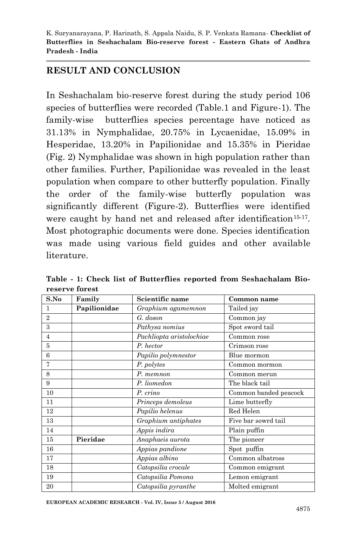# **RESULT AND CONCLUSION**

In Seshachalam bio-reserve forest during the study period 106 species of butterflies were recorded (Table.1 and Figure-1). The family-wise butterflies species percentage have noticed as 31.13% in Nymphalidae, 20.75% in Lycaenidae, 15.09% in Hesperidae, 13.20% in Papilionidae and 15.35% in Pieridae (Fig. 2) Nymphalidae was shown in high population rather than other families. Further, Papilionidae was revealed in the least population when compare to other butterfly population. Finally the order of the family-wise butterfly population was significantly different (Figure-2). Butterflies were identified were caught by hand net and released after identification<sup>15-17</sup>. Most photographic documents were done. Species identification was made using various field guides and other available literature.

| S.No           | Family       | Scientific name          | Common name           |
|----------------|--------------|--------------------------|-----------------------|
| 1              | Papilionidae | Graphium agamemnon       | Tailed jay            |
| $\overline{2}$ |              | G. doson                 | Common jay            |
| 3              |              | Pathysa nomius           | Spot sword tail       |
| $\overline{4}$ |              | Pachliopta aristolochiae | Common rose           |
| 5              |              | P. hector                | Crimson rose          |
| 6              |              | Papilio polymnestor      | Blue mormon           |
| 7              |              | P. polytes               | Common mormon         |
| 8              |              | P. memnon                | Common merun          |
| 9              |              | P. liomedon              | The black tail        |
| 10             |              | P. crino                 | Common banded peacock |
| 11             |              | Princeps demoleus        | Lime butterfly        |
| 12             |              | Papilio helenus          | Red Helen             |
| 13             |              | Graphium antiphates      | Five bar sowrd tail   |
| 14             |              | Appis indira             | Plain puffin          |
| 15             | Pieridae     | Anaphaeis aurota         | The pioneer           |
| 16             |              | Appias pandione          | Spot puffin           |
| 17             |              | Appias albino            | Common albatross      |
| 18             |              | Catopsilia crocale       | Common emigrant       |
| 19             |              | Catopsilia Pomona        | Lemon emigrant        |
| 20             |              | Catopsilia pyranthe      | Molted emigrant       |

**Table - 1: Check list of Butterflies reported from Seshachalam Bioreserve forest** 

**EUROPEAN ACADEMIC RESEARCH - Vol. IV, Issue 5 / August 2016**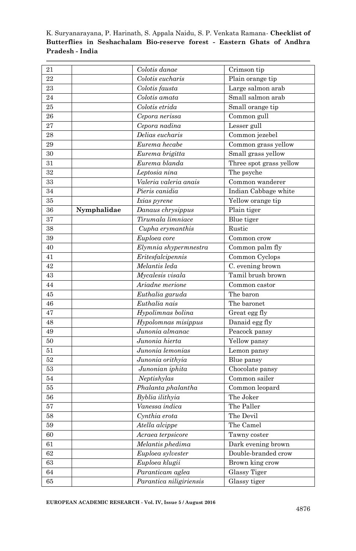| 21     |             | Colotis danae                                | Crimson tip             |
|--------|-------------|----------------------------------------------|-------------------------|
| 22     |             | Colotis eucharis                             | Plain orange tip        |
| 23     |             | Colotis fausta                               | Large salmon arab       |
| 24     |             | Colotis amata                                | Small salmon arab       |
| 25     |             | Colotis etrida                               | Small orange tip        |
| 26     |             | Cepora nerissa                               | Common gull             |
| 27     |             | Cepora nadina                                | Lesser gull             |
| 28     |             | Delias eucharis                              | Common jezebel          |
| 29     |             | Eurema hecabe                                | Common grass yellow     |
| 30     |             | Eurema brigitta                              | Small grass yellow      |
| 31     |             | Eurema blanda                                | Three spot grass yellow |
| 32     |             | Leptosia nina                                | The psyche              |
| 33     |             | Valeria valeria anais                        | Common wanderer         |
| 34     |             | Pieris canidia                               | Indian Cabbage white    |
| 35     |             | Ixias pyrene                                 | Yellow orange tip       |
| 36     | Nymphalidae | Danaus chrysippus                            | Plain tiger             |
| 37     |             | Tirumala limniace                            | Blue tiger              |
| 38     |             | Cupha erymanthis                             | Rustic                  |
| 39     |             | Euploea core                                 | Common crow             |
| 40     |             | $\overline{\mathit{El}}$ ymnia shypermnestra | Common palm fly         |
| 41     |             | Eritesfalcipennis                            | Common Cyclops          |
| 42     |             | Melantis leda                                | C. evening brown        |
| 43     |             | Mycalesis visala                             | Tamil brush brown       |
| 44     |             | Ariadne merione                              | Common castor           |
| 45     |             | Euthalia garuda                              | The baron               |
| 46     |             | Euthalia nais                                | The baronet             |
| 47     |             | Hypolimnas bolina                            | Great egg fly           |
| 48     |             | Hypolomnas misippus                          | Danaid egg fly          |
| 49     |             | Junonia almanac                              | Peacock pansy           |
| 50     |             | Junonia hierta                               | Yellow pansy            |
| 51     |             | Junonia lemonias                             | Lemon pansy             |
| 52     |             | Junonia orithyia                             | Blue pansy              |
| 53     |             | Junonian iphita                              | Chocolate pansy         |
| 54     |             | Neptishylas                                  | Common sailer           |
| 55     |             | Phalanta phalantha                           | Common leopard          |
| $56\,$ |             | $\overline{By}$ blia ilithyia                | The Joker               |
| 57     |             | Vanessa indica                               | The Paller              |
| 58     |             | Cynthia erota                                | The Devil               |
| 59     |             | Atella alcippe                               | The Camel               |
| 60     |             | Acraea terpsicore                            | Tawny coster            |
| 61     |             | Melantis phedima                             | Dark evening brown      |
| 62     |             | Euploea sylvester                            | Double-branded crow     |
| 63     |             | Euploea klugii                               | Brown king crow         |
| 64     |             | Paranticam aglea                             | Glassy Tiger            |
| 65     |             | Parantica niligiriensis                      | Glassy tiger            |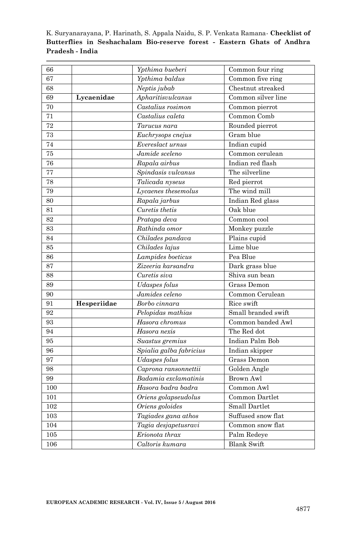| 66  |             | Ypthima bueberi             | Common four ring    |
|-----|-------------|-----------------------------|---------------------|
| 67  |             | Ypthima baldus              | Common five ring    |
| 68  |             | Neptis jubab                | Chestnut streaked   |
| 69  | Lycaenidae  | Apharitisvulcanus           | Common silver line  |
| 70  |             | Castalius rosimon           | Common pierrot      |
| 71  |             | Castalius caleta            | Common Comb         |
| 72  |             | Tarucus nara                | Rounded pierrot     |
| 73  |             | Euchrysops cnejus           | Gram blue           |
| 74  |             | Evereslact urnus            | Indian cupid        |
| 75  |             | $\overline{Jamide}$ sceleno | Common cerulean     |
| 76  |             | Rapala airbus               | Indian red flash    |
| 77  |             | Spindasis vulcanus          | The silverline      |
| 78  |             | Talicada nyseus             | Red pierrot         |
| 79  |             | Lycaenes thesemolus         | The wind mill       |
| 80  |             | $\overline{R}$ apala jarbus | Indian Red glass    |
| 81  |             | Curetis thetis              | Oak blue            |
| 82  |             | Pratapa deva                | Common cool         |
| 83  |             | Rathinda omor               | Monkey puzzle       |
| 84  |             | Chilades pandava            | Plains cupid        |
| 85  |             | Chilades lajus              | Lime blue           |
| 86  |             | Lampides boeticus           | Pea Blue            |
| 87  |             | Zizeeria karsandra          | Dark grass blue     |
| 88  |             | Curetis siva                | Shiva sun bean      |
| 89  |             | Udaspes folus               | Grass Demon         |
| 90  |             | Jamides celeno              | Common Cerulean     |
| 91  | Hesperiidae | Borbo cinnara               | Rice swift          |
| 92  |             | Pelopidas mathias           | Small branded swift |
| 93  |             | Hasora chromus              | Common banded Awl   |
| 94  |             | Hasora nexis                | The Red dot         |
| 95  |             | Suastus gremius             | Indian Palm Bob     |
| 96  |             | Spialia galba fabricius     | Indian skipper      |
| 97  |             | Udaspes folus               | Grass Demon         |
| 98  |             | Caprona ransonnettii        | Golden Angle        |
| 99  |             | Badamia exclamatinis        | <b>Brown Awl</b>    |
| 100 |             | Hasora badra badra          | Common Awl          |
| 101 |             | Oriens golapseudolus        | Common Dartlet      |
| 102 |             | Oriens goloides             | Small Dartlet       |
| 103 |             | Tagiades gana athos         | Suffused snow flat  |
| 104 |             | Tagia desjapetusravi        | Common snow flat    |
| 105 |             | Erionota thrax              | Palm Redeye         |
| 106 |             | Caltoris kumara             | <b>Blank Swift</b>  |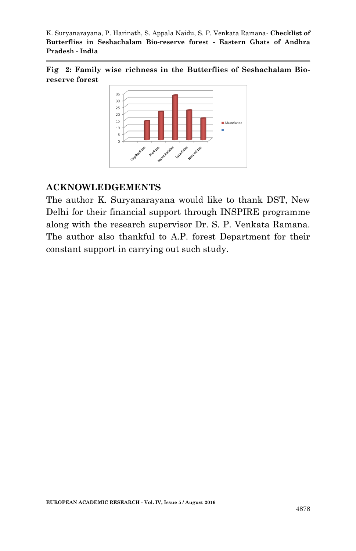**Fig 2: Family wise richness in the Butterflies of Seshachalam Bioreserve forest**



## **ACKNOWLEDGEMENTS**

The author K. Suryanarayana would like to thank DST, New Delhi for their financial support through INSPIRE programme along with the research supervisor Dr. S. P. Venkata Ramana. The author also thankful to A.P. forest Department for their constant support in carrying out such study.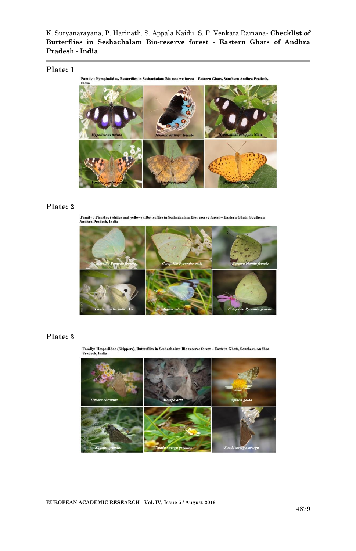#### **Plate: 1**





#### **Plate: 2**

Family : Pieridae (whites and yellows), Butterflies in Seshachalam Bio reserve forest – Eastern Ghats, Southern<br>Andhra Pradesh. India



#### **Plate: 3**

Family: Hesperiidae (Skippers), Butterflies in Seshachalam Bio reserve forest – Eastern Ghats, Southern Andhra<br>Pradesh, India



**EUROPEAN ACADEMIC RESEARCH - Vol. IV, Issue 5 / August 2016**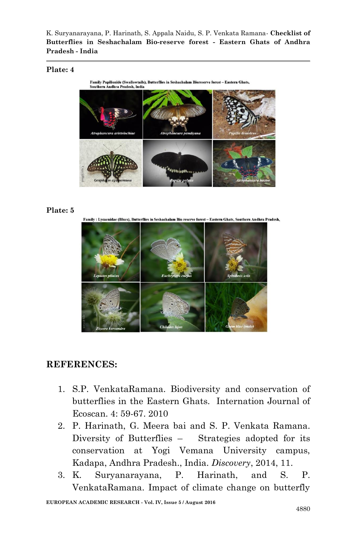### **Plate: 4**



### **Plate: 5**

ly : Lycaenidae (Blues). Butterflies in Seshachalz **Bio reserve forest - Eastern Ghats, Southern Andhra Pradesh.** 



# **REFERENCES:**

- 1. S.P. VenkataRamana. Biodiversity and conservation of butterflies in the Eastern Ghats. Internation Journal of Ecoscan. 4: 59-67. 2010
- 2. P. Harinath, G. Meera bai and S. P. Venkata Ramana. Diversity of Butterflies – Strategies adopted for its conservation at Yogi Vemana University campus, Kadapa, Andhra Pradesh., India. *Discovery*, 2014, 11.
- 3. K. Suryanarayana, P. Harinath, and S. P. VenkataRamana. Impact of climate change on butterfly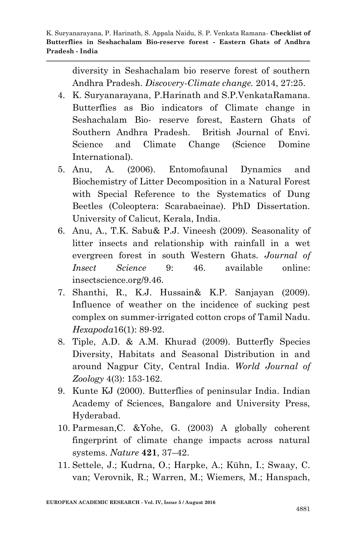diversity in Seshachalam bio reserve forest of southern Andhra Pradesh. *Discovery-Climate change.* 2014, 27:25.

- 4. K. Suryanarayana, P.Harinath and S.P.VenkataRamana. Butterflies as Bio indicators of Climate change in Seshachalam Bio- reserve forest, Eastern Ghats of Southern Andhra Pradesh. British Journal of Envi. Science and Climate Change (Science Domine International).
- 5. Anu, A. (2006). Entomofaunal Dynamics and Biochemistry of Litter Decomposition in a Natural Forest with Special Reference to the Systematics of Dung Beetles (Coleoptera: Scarabaeinae). PhD Dissertation. University of Calicut, Kerala, India.
- 6. Anu, A., T.K. Sabu& P.J. Vineesh (2009). Seasonality of litter insects and relationship with rainfall in a wet evergreen forest in south Western Ghats. *Journal of Insect Science* 9: 46. available online: insectscience.org/9.46.
- 7. Shanthi, R., K.J. Hussain& K.P. Sanjayan (2009). Influence of weather on the incidence of sucking pest complex on summer-irrigated cotton crops of Tamil Nadu. *Hexapoda*16(1): 89-92.
- 8. Tiple, A.D. & A.M. Khurad (2009). Butterfly Species Diversity, Habitats and Seasonal Distribution in and around Nagpur City, Central India. *World Journal of Zoology* 4(3): 153-162.
- 9. Kunte KJ (2000). Butterflies of peninsular India. Indian Academy of Sciences, Bangalore and University Press, Hyderabad.
- 10. Parmesan,C. &Yohe, G. (2003) A globally coherent fingerprint of climate change impacts across natural systems. *Nature* **421**, 37–42.
- 11. Settele, J.; Kudrna, O.; Harpke, A.; Kühn, I.; Swaay, C. van; Verovnik, R.; Warren, M.; Wiemers, M.; Hanspach,